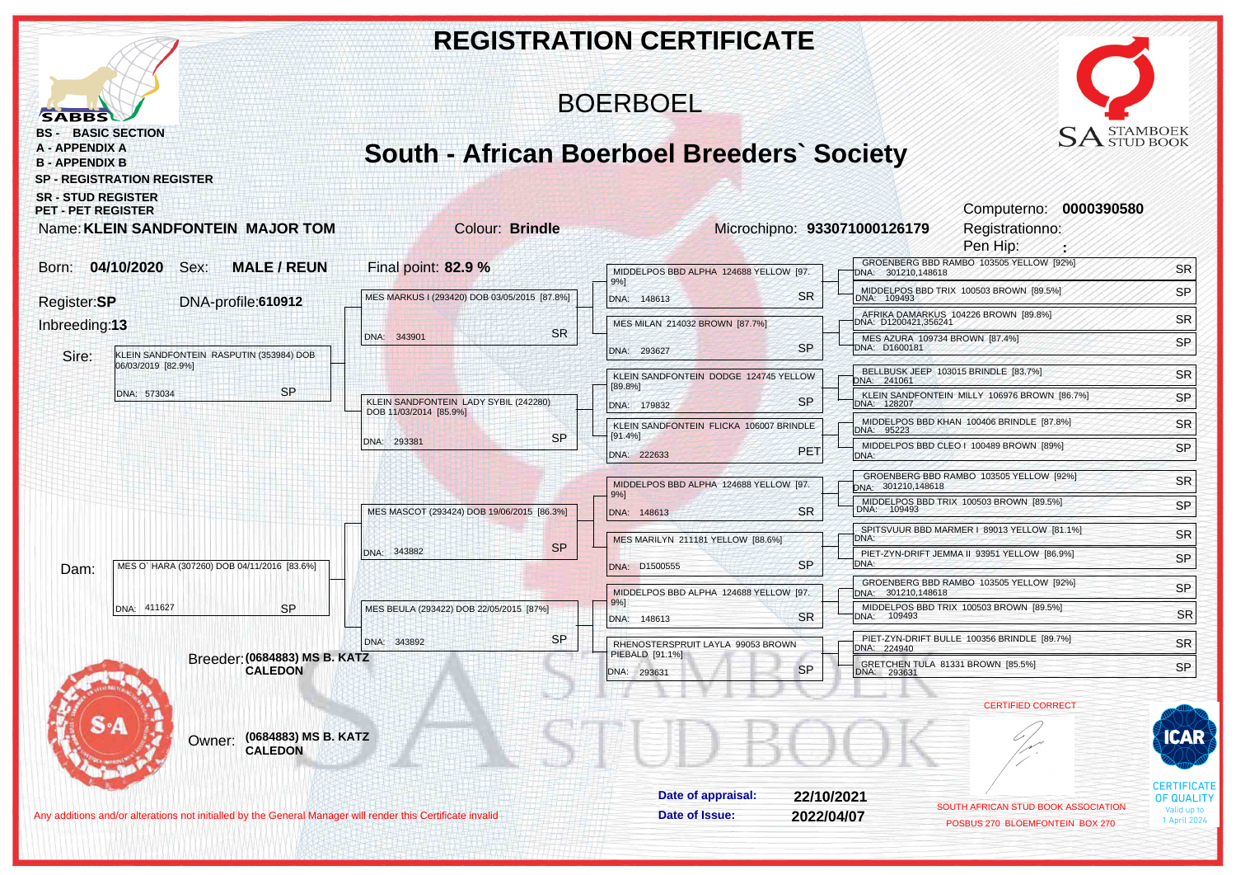